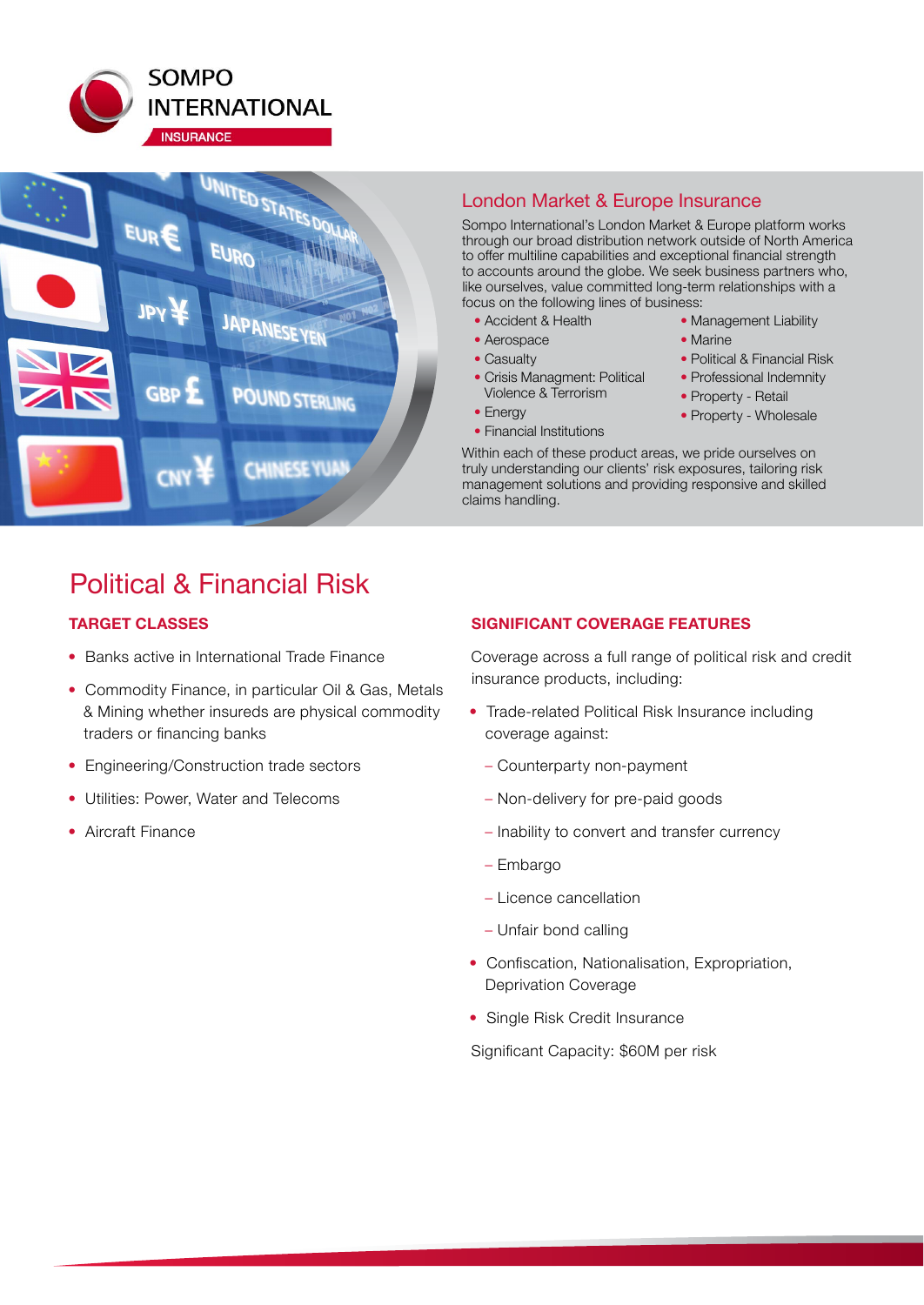



## London Market & Europe Insurance

Sompo International's London Market & Europe platform works through our broad distribution network outside of North America to offer multiline capabilities and exceptional financial strength to accounts around the globe. We seek business partners who, like ourselves, value committed long-term relationships with a focus on the following lines of business:

- Accident & Health
- Aerospace
- Casualty
- Crisis Managment: Political Violence & Terrorism
- Energy
- Financial Institutions
- Management Liability • Marine
- Political & Financial Risk
- Professional Indemnity
- Property Retail
- Property Wholesale

Within each of these product areas, we pride ourselves on truly understanding our clients' risk exposures, tailoring risk management solutions and providing responsive and skilled claims handling.

## Political & Financial Risk

## **TARGET CLASSES**

- Banks active in International Trade Finance
- Commodity Finance, in particular Oil & Gas, Metals & Mining whether insureds are physical commodity traders or financing banks
- Engineering/Construction trade sectors
- Utilities: Power, Water and Telecoms
- Aircraft Finance

## **SIGNIFICANT COVERAGE FEATURES**

Coverage across a full range of political risk and credit insurance products, including:

- Trade-related Political Risk Insurance including coverage against:
	- Counterparty non-payment
	- Non-delivery for pre-paid goods
	- Inability to convert and transfer currency
	- Embargo
	- Licence cancellation
	- Unfair bond calling
- Confiscation, Nationalisation, Expropriation, Deprivation Coverage
- Single Risk Credit Insurance

Significant Capacity: \$60M per risk